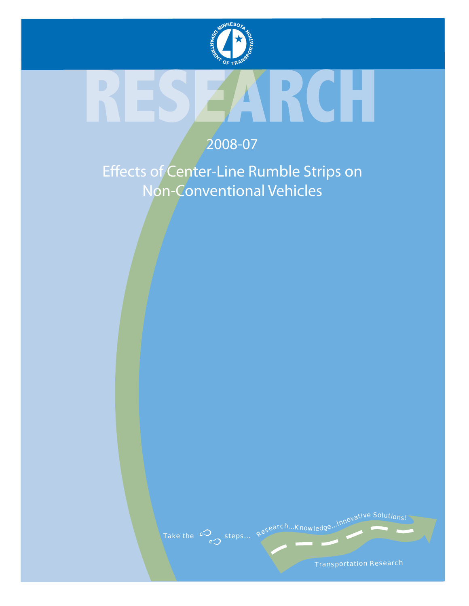

# R

# 2008-07

Effects of Center-Line Rumble Strips on Non-Conventional Vehicles



Transportation Research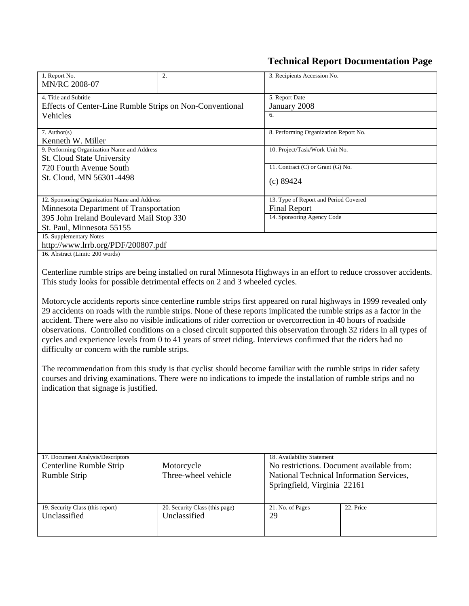# **Technical Report Documentation Page**

| 1. Report No.                                                                | 2. | 3. Recipients Accession No.                                                                                          |  |  |  |  |
|------------------------------------------------------------------------------|----|----------------------------------------------------------------------------------------------------------------------|--|--|--|--|
| MN/RC 2008-07                                                                |    |                                                                                                                      |  |  |  |  |
| 4. Title and Subtitle                                                        |    | 5. Report Date                                                                                                       |  |  |  |  |
| Effects of Center-Line Rumble Strips on Non-Conventional                     |    | January 2008                                                                                                         |  |  |  |  |
| Vehicles                                                                     |    | 6.                                                                                                                   |  |  |  |  |
|                                                                              |    |                                                                                                                      |  |  |  |  |
| 7. Author(s)                                                                 |    | 8. Performing Organization Report No.                                                                                |  |  |  |  |
| Kenneth W. Miller                                                            |    |                                                                                                                      |  |  |  |  |
| 9. Performing Organization Name and Address                                  |    | 10. Project/Task/Work Unit No.                                                                                       |  |  |  |  |
| St. Cloud State University                                                   |    |                                                                                                                      |  |  |  |  |
| 720 Fourth Avenue South                                                      |    | 11. Contract (C) or Grant (G) No.                                                                                    |  |  |  |  |
| St. Cloud, MN 56301-4498                                                     |    |                                                                                                                      |  |  |  |  |
|                                                                              |    | (c) 89424                                                                                                            |  |  |  |  |
|                                                                              |    |                                                                                                                      |  |  |  |  |
| 12. Sponsoring Organization Name and Address                                 |    | 13. Type of Report and Period Covered                                                                                |  |  |  |  |
| Minnesota Department of Transportation                                       |    | <b>Final Report</b>                                                                                                  |  |  |  |  |
| 395 John Ireland Boulevard Mail Stop 330                                     |    | 14. Sponsoring Agency Code                                                                                           |  |  |  |  |
| St. Paul, Minnesota 55155                                                    |    |                                                                                                                      |  |  |  |  |
| 15. Supplementary Notes                                                      |    |                                                                                                                      |  |  |  |  |
| http://www.lrrb.org/PDF/200807.pdf                                           |    |                                                                                                                      |  |  |  |  |
| 16. Abstract (Limit: 200 words)                                              |    |                                                                                                                      |  |  |  |  |
|                                                                              |    |                                                                                                                      |  |  |  |  |
|                                                                              |    | Centerline rumble strips are being installed on rural Minnesota Highways in an effort to reduce crossover accidents. |  |  |  |  |
| This study looks for possible detrimental effects on 2 and 3 wheeled cycles. |    |                                                                                                                      |  |  |  |  |
|                                                                              |    |                                                                                                                      |  |  |  |  |
|                                                                              |    | Motorcycle accidents reports since centerline rumble strips first appeared on rural highways in 1999 revealed only   |  |  |  |  |
|                                                                              |    | 29 accidents on roads with the rumble strips. None of these reports implicated the rumble strips as a factor in the  |  |  |  |  |
|                                                                              |    | accident. There were also no visible indications of rider correction or overcorrection in 40 hours of roadside       |  |  |  |  |
|                                                                              |    | observations. Controlled conditions on a closed circuit supported this observation through 32 riders in all types of |  |  |  |  |
|                                                                              |    | cycles and experience levels from 0 to 41 years of street riding. Interviews confirmed that the riders had no        |  |  |  |  |
| difficulty or concern with the rumble strips.                                |    |                                                                                                                      |  |  |  |  |
|                                                                              |    |                                                                                                                      |  |  |  |  |
|                                                                              |    | The recommendation from this study is that cyclist should become familiar with the rumble strips in rider safety     |  |  |  |  |
|                                                                              |    |                                                                                                                      |  |  |  |  |
|                                                                              |    | courses and driving examinations. There were no indications to impede the installation of rumble strips and no       |  |  |  |  |
| indication that signage is justified.                                        |    |                                                                                                                      |  |  |  |  |

| 17. Document Analysis/Descriptors |                                | 18. Availability Statement                |           |  |
|-----------------------------------|--------------------------------|-------------------------------------------|-----------|--|
| Centerline Rumble Strip           | Motorcycle                     | No restrictions. Document available from: |           |  |
| Rumble Strip                      | Three-wheel vehicle            | National Technical Information Services,  |           |  |
|                                   |                                | Springfield, Virginia 22161               |           |  |
|                                   |                                |                                           |           |  |
| 19. Security Class (this report)  | 20. Security Class (this page) | 21. No. of Pages                          | 22. Price |  |
| Unclassified                      | Unclassified                   | 29                                        |           |  |
|                                   |                                |                                           |           |  |
|                                   |                                |                                           |           |  |

 $\overline{\phantom{a}}$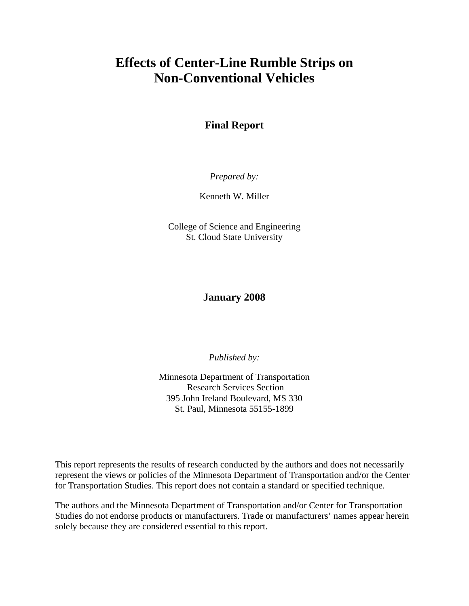# **Effects of Center-Line Rumble Strips on Non-Conventional Vehicles**

## **Final Report**

*Prepared by:* 

Kenneth W. Miller

College of Science and Engineering St. Cloud State University

#### **January 2008**

*Published by:* 

Minnesota Department of Transportation Research Services Section 395 John Ireland Boulevard, MS 330 St. Paul, Minnesota 55155-1899

This report represents the results of research conducted by the authors and does not necessarily represent the views or policies of the Minnesota Department of Transportation and/or the Center for Transportation Studies. This report does not contain a standard or specified technique.

The authors and the Minnesota Department of Transportation and/or Center for Transportation Studies do not endorse products or manufacturers. Trade or manufacturers' names appear herein solely because they are considered essential to this report.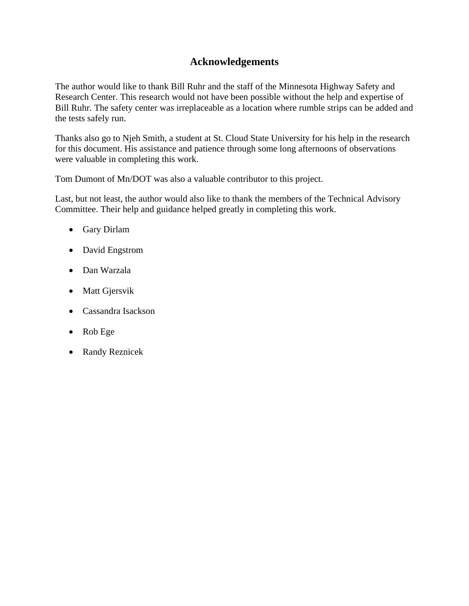## **Acknowledgements**

The author would like to thank Bill Ruhr and the staff of the Minnesota Highway Safety and Research Center. This research would not have been possible without the help and expertise of Bill Ruhr. The safety center was irreplaceable as a location where rumble strips can be added and the tests safely run.

Thanks also go to Njeh Smith, a student at St. Cloud State University for his help in the research for this document. His assistance and patience through some long afternoons of observations were valuable in completing this work.

Tom Dumont of Mn/DOT was also a valuable contributor to this project.

Last, but not least, the author would also like to thank the members of the Technical Advisory Committee. Their help and guidance helped greatly in completing this work.

- Gary Dirlam
- David Engstrom
- Dan Warzala
- Matt Gjersvik
- Cassandra Isackson
- Rob Ege
- Randy Reznicek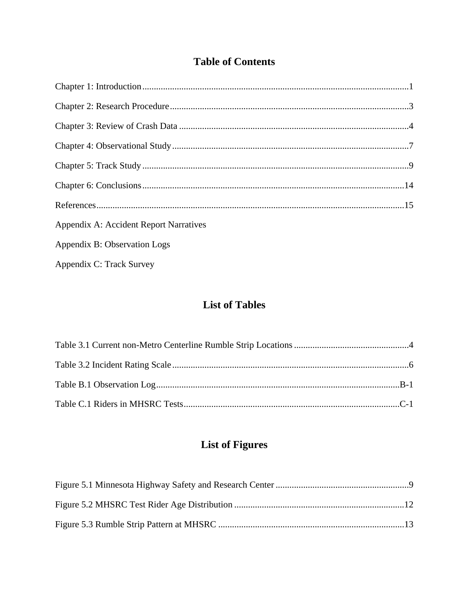# **Table of Contents**

| <b>Appendix A: Accident Report Narratives</b> |  |
|-----------------------------------------------|--|
| Appendix B: Observation Logs                  |  |
| Appendix C: Track Survey                      |  |

# **List of Tables**

# **List of Figures**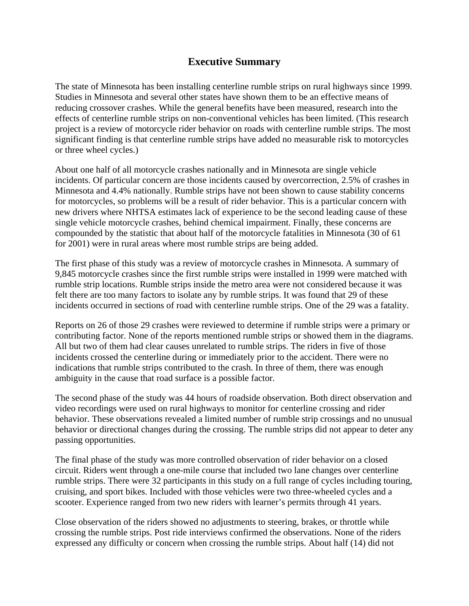## **Executive Summary**

The state of Minnesota has been installing centerline rumble strips on rural highways since 1999. Studies in Minnesota and several other states have shown them to be an effective means of reducing crossover crashes. While the general benefits have been measured, research into the effects of centerline rumble strips on non-conventional vehicles has been limited. (This research project is a review of motorcycle rider behavior on roads with centerline rumble strips. The most significant finding is that centerline rumble strips have added no measurable risk to motorcycles or three wheel cycles.)

About one half of all motorcycle crashes nationally and in Minnesota are single vehicle incidents. Of particular concern are those incidents caused by overcorrection, 2.5% of crashes in Minnesota and 4.4% nationally. Rumble strips have not been shown to cause stability concerns for motorcycles, so problems will be a result of rider behavior. This is a particular concern with new drivers where NHTSA estimates lack of experience to be the second leading cause of these single vehicle motorcycle crashes, behind chemical impairment. Finally, these concerns are compounded by the statistic that about half of the motorcycle fatalities in Minnesota (30 of 61 for 2001) were in rural areas where most rumble strips are being added.

The first phase of this study was a review of motorcycle crashes in Minnesota. A summary of 9,845 motorcycle crashes since the first rumble strips were installed in 1999 were matched with rumble strip locations. Rumble strips inside the metro area were not considered because it was felt there are too many factors to isolate any by rumble strips. It was found that 29 of these incidents occurred in sections of road with centerline rumble strips. One of the 29 was a fatality.

Reports on 26 of those 29 crashes were reviewed to determine if rumble strips were a primary or contributing factor. None of the reports mentioned rumble strips or showed them in the diagrams. All but two of them had clear causes unrelated to rumble strips. The riders in five of those incidents crossed the centerline during or immediately prior to the accident. There were no indications that rumble strips contributed to the crash. In three of them, there was enough ambiguity in the cause that road surface is a possible factor.

The second phase of the study was 44 hours of roadside observation. Both direct observation and video recordings were used on rural highways to monitor for centerline crossing and rider behavior. These observations revealed a limited number of rumble strip crossings and no unusual behavior or directional changes during the crossing. The rumble strips did not appear to deter any passing opportunities.

The final phase of the study was more controlled observation of rider behavior on a closed circuit. Riders went through a one-mile course that included two lane changes over centerline rumble strips. There were 32 participants in this study on a full range of cycles including touring, cruising, and sport bikes. Included with those vehicles were two three-wheeled cycles and a scooter. Experience ranged from two new riders with learner's permits through 41 years.

Close observation of the riders showed no adjustments to steering, brakes, or throttle while crossing the rumble strips. Post ride interviews confirmed the observations. None of the riders expressed any difficulty or concern when crossing the rumble strips. About half (14) did not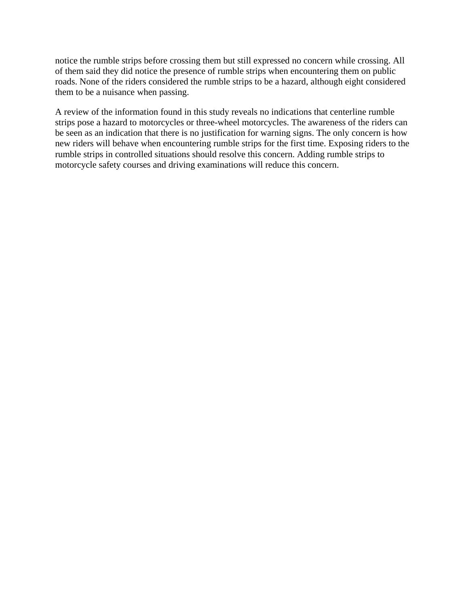notice the rumble strips before crossing them but still expressed no concern while crossing. All of them said they did notice the presence of rumble strips when encountering them on public roads. None of the riders considered the rumble strips to be a hazard, although eight considered them to be a nuisance when passing.

A review of the information found in this study reveals no indications that centerline rumble strips pose a hazard to motorcycles or three-wheel motorcycles. The awareness of the riders can be seen as an indication that there is no justification for warning signs. The only concern is how new riders will behave when encountering rumble strips for the first time. Exposing riders to the rumble strips in controlled situations should resolve this concern. Adding rumble strips to motorcycle safety courses and driving examinations will reduce this concern.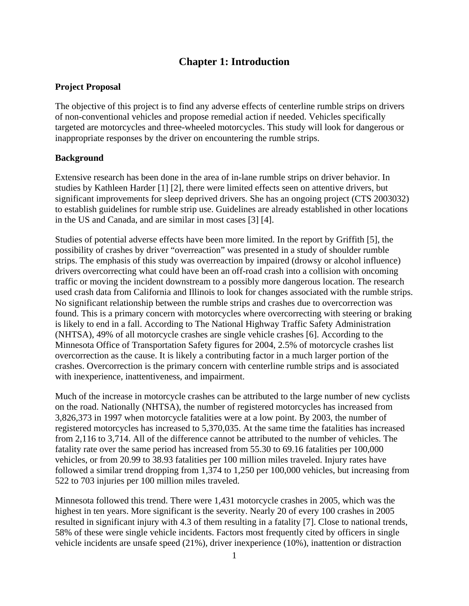## **Chapter 1: Introduction**

#### **Project Proposal**

The objective of this project is to find any adverse effects of centerline rumble strips on drivers of non-conventional vehicles and propose remedial action if needed. Vehicles specifically targeted are motorcycles and three-wheeled motorcycles. This study will look for dangerous or inappropriate responses by the driver on encountering the rumble strips.

#### **Background**

Extensive research has been done in the area of in-lane rumble strips on driver behavior. In studies by Kathleen Harder [1] [2], there were limited effects seen on attentive drivers, but significant improvements for sleep deprived drivers. She has an ongoing project (CTS 2003032) to establish guidelines for rumble strip use. Guidelines are already established in other locations in the US and Canada, and are similar in most cases [3] [4].

Studies of potential adverse effects have been more limited. In the report by Griffith [5], the possibility of crashes by driver "overreaction" was presented in a study of shoulder rumble strips. The emphasis of this study was overreaction by impaired (drowsy or alcohol influence) drivers overcorrecting what could have been an off-road crash into a collision with oncoming traffic or moving the incident downstream to a possibly more dangerous location. The research used crash data from California and Illinois to look for changes associated with the rumble strips. No significant relationship between the rumble strips and crashes due to overcorrection was found. This is a primary concern with motorcycles where overcorrecting with steering or braking is likely to end in a fall. According to The National Highway Traffic Safety Administration (NHTSA), 49% of all motorcycle crashes are single vehicle crashes [6]. According to the Minnesota Office of Transportation Safety figures for 2004, 2.5% of motorcycle crashes list overcorrection as the cause. It is likely a contributing factor in a much larger portion of the crashes. Overcorrection is the primary concern with centerline rumble strips and is associated with inexperience, inattentiveness, and impairment.

Much of the increase in motorcycle crashes can be attributed to the large number of new cyclists on the road. Nationally (NHTSA), the number of registered motorcycles has increased from 3,826,373 in 1997 when motorcycle fatalities were at a low point. By 2003, the number of registered motorcycles has increased to 5,370,035. At the same time the fatalities has increased from 2,116 to 3,714. All of the difference cannot be attributed to the number of vehicles. The fatality rate over the same period has increased from 55.30 to 69.16 fatalities per 100,000 vehicles, or from 20.99 to 38.93 fatalities per 100 million miles traveled. Injury rates have followed a similar trend dropping from 1,374 to 1,250 per 100,000 vehicles, but increasing from 522 to 703 injuries per 100 million miles traveled.

Minnesota followed this trend. There were 1,431 motorcycle crashes in 2005, which was the highest in ten years. More significant is the severity. Nearly 20 of every 100 crashes in 2005 resulted in significant injury with 4.3 of them resulting in a fatality [7]. Close to national trends, 58% of these were single vehicle incidents. Factors most frequently cited by officers in single vehicle incidents are unsafe speed (21%), driver inexperience (10%), inattention or distraction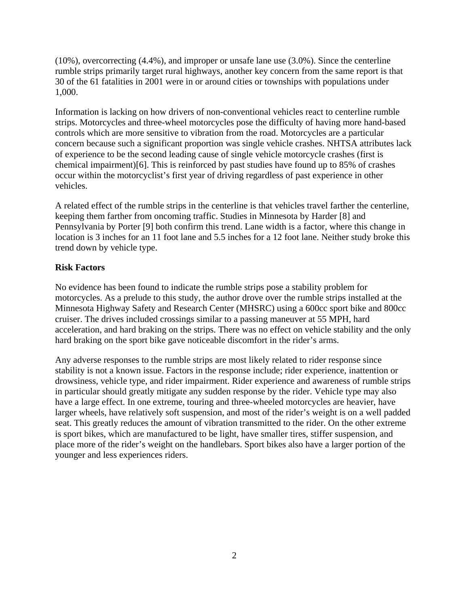(10%), overcorrecting (4.4%), and improper or unsafe lane use (3.0%). Since the centerline rumble strips primarily target rural highways, another key concern from the same report is that 30 of the 61 fatalities in 2001 were in or around cities or townships with populations under 1,000.

Information is lacking on how drivers of non-conventional vehicles react to centerline rumble strips. Motorcycles and three-wheel motorcycles pose the difficulty of having more hand-based controls which are more sensitive to vibration from the road. Motorcycles are a particular concern because such a significant proportion was single vehicle crashes. NHTSA attributes lack of experience to be the second leading cause of single vehicle motorcycle crashes (first is chemical impairment)[6]. This is reinforced by past studies have found up to 85% of crashes occur within the motorcyclist's first year of driving regardless of past experience in other vehicles.

A related effect of the rumble strips in the centerline is that vehicles travel farther the centerline, keeping them farther from oncoming traffic. Studies in Minnesota by Harder [8] and Pennsylvania by Porter [9] both confirm this trend. Lane width is a factor, where this change in location is 3 inches for an 11 foot lane and 5.5 inches for a 12 foot lane. Neither study broke this trend down by vehicle type.

#### **Risk Factors**

No evidence has been found to indicate the rumble strips pose a stability problem for motorcycles. As a prelude to this study, the author drove over the rumble strips installed at the Minnesota Highway Safety and Research Center (MHSRC) using a 600cc sport bike and 800cc cruiser. The drives included crossings similar to a passing maneuver at 55 MPH, hard acceleration, and hard braking on the strips. There was no effect on vehicle stability and the only hard braking on the sport bike gave noticeable discomfort in the rider's arms.

Any adverse responses to the rumble strips are most likely related to rider response since stability is not a known issue. Factors in the response include; rider experience, inattention or drowsiness, vehicle type, and rider impairment. Rider experience and awareness of rumble strips in particular should greatly mitigate any sudden response by the rider. Vehicle type may also have a large effect. In one extreme, touring and three-wheeled motorcycles are heavier, have larger wheels, have relatively soft suspension, and most of the rider's weight is on a well padded seat. This greatly reduces the amount of vibration transmitted to the rider. On the other extreme is sport bikes, which are manufactured to be light, have smaller tires, stiffer suspension, and place more of the rider's weight on the handlebars. Sport bikes also have a larger portion of the younger and less experiences riders.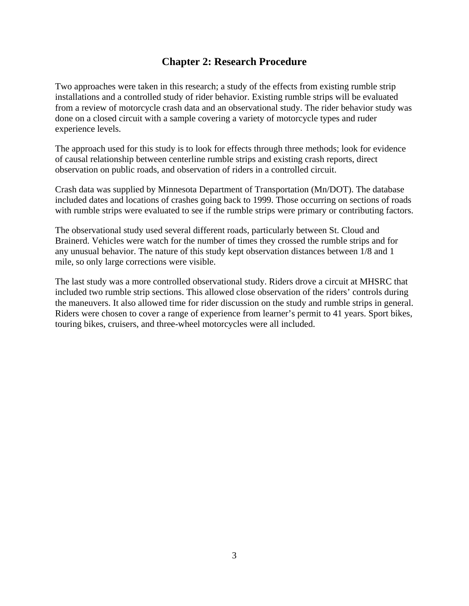## **Chapter 2: Research Procedure**

Two approaches were taken in this research; a study of the effects from existing rumble strip installations and a controlled study of rider behavior. Existing rumble strips will be evaluated from a review of motorcycle crash data and an observational study. The rider behavior study was done on a closed circuit with a sample covering a variety of motorcycle types and ruder experience levels.

The approach used for this study is to look for effects through three methods; look for evidence of causal relationship between centerline rumble strips and existing crash reports, direct observation on public roads, and observation of riders in a controlled circuit.

Crash data was supplied by Minnesota Department of Transportation (Mn/DOT). The database included dates and locations of crashes going back to 1999. Those occurring on sections of roads with rumble strips were evaluated to see if the rumble strips were primary or contributing factors.

The observational study used several different roads, particularly between St. Cloud and Brainerd. Vehicles were watch for the number of times they crossed the rumble strips and for any unusual behavior. The nature of this study kept observation distances between 1/8 and 1 mile, so only large corrections were visible.

The last study was a more controlled observational study. Riders drove a circuit at MHSRC that included two rumble strip sections. This allowed close observation of the riders' controls during the maneuvers. It also allowed time for rider discussion on the study and rumble strips in general. Riders were chosen to cover a range of experience from learner's permit to 41 years. Sport bikes, touring bikes, cruisers, and three-wheel motorcycles were all included.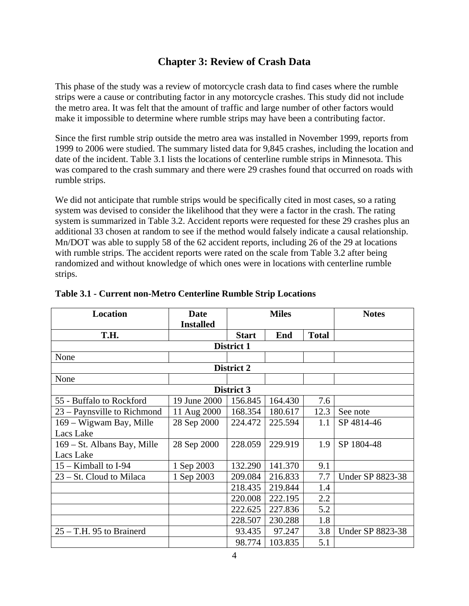## **Chapter 3: Review of Crash Data**

This phase of the study was a review of motorcycle crash data to find cases where the rumble strips were a cause or contributing factor in any motorcycle crashes. This study did not include the metro area. It was felt that the amount of traffic and large number of other factors would make it impossible to determine where rumble strips may have been a contributing factor.

Since the first rumble strip outside the metro area was installed in November 1999, reports from 1999 to 2006 were studied. The summary listed data for 9,845 crashes, including the location and date of the incident. Table 3.1 lists the locations of centerline rumble strips in Minnesota. This was compared to the crash summary and there were 29 crashes found that occurred on roads with rumble strips.

We did not anticipate that rumble strips would be specifically cited in most cases, so a rating system was devised to consider the likelihood that they were a factor in the crash. The rating system is summarized in Table 3.2. Accident reports were requested for these 29 crashes plus an additional 33 chosen at random to see if the method would falsely indicate a causal relationship. Mn/DOT was able to supply 58 of the 62 accident reports, including 26 of the 29 at locations with rumble strips. The accident reports were rated on the scale from Table 3.2 after being randomized and without knowledge of which ones were in locations with centerline rumble strips.

| <b>Location</b>             | <b>Date</b>      | <b>Miles</b> |         | <b>Notes</b> |                         |
|-----------------------------|------------------|--------------|---------|--------------|-------------------------|
|                             | <b>Installed</b> |              |         |              |                         |
| T.H.                        |                  | <b>Start</b> | End     | <b>Total</b> |                         |
|                             |                  | District 1   |         |              |                         |
| None                        |                  |              |         |              |                         |
|                             |                  | District 2   |         |              |                         |
| None                        |                  |              |         |              |                         |
|                             |                  | District 3   |         |              |                         |
| 55 - Buffalo to Rockford    | 19 June 2000     | 156.845      | 164.430 | 7.6          |                         |
| 23 – Paynsville to Richmond | 11 Aug 2000      | 168.354      | 180.617 | 12.3         | See note                |
| 169 – Wigwam Bay, Mille     | 28 Sep 2000      | 224.472      | 225.594 | 1.1          | SP 4814-46              |
| Lacs Lake                   |                  |              |         |              |                         |
| 169 – St. Albans Bay, Mille | 28 Sep 2000      | 228.059      | 229.919 | 1.9          | SP 1804-48              |
| Lacs Lake                   |                  |              |         |              |                         |
| $15 -$ Kimball to I-94      | 1 Sep 2003       | 132.290      | 141.370 | 9.1          |                         |
| 23 – St. Cloud to Milaca    | 1 Sep 2003       | 209.084      | 216.833 | 7.7          | <b>Under SP 8823-38</b> |
|                             |                  | 218.435      | 219.844 | 1.4          |                         |
|                             |                  | 220.008      | 222.195 | 2.2          |                         |
|                             |                  | 222.625      | 227.836 | 5.2          |                         |
|                             |                  | 228.507      | 230.288 | 1.8          |                         |
| $25 - T.H.$ 95 to Brainerd  |                  | 93.435       | 97.247  | 3.8          | <b>Under SP 8823-38</b> |
|                             |                  | 98.774       | 103.835 | 5.1          |                         |

#### **Table 3.1 - Current non-Metro Centerline Rumble Strip Locations**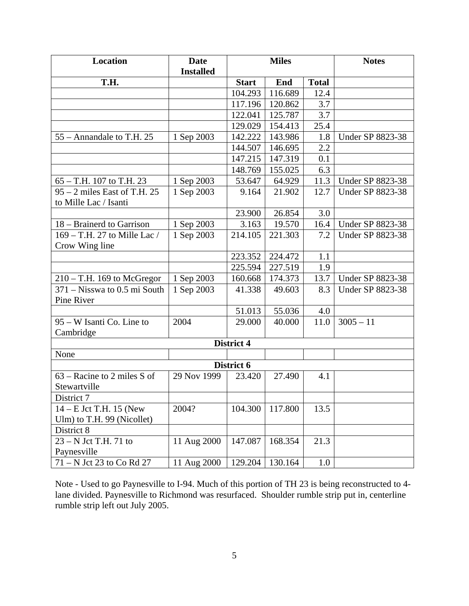| Location                                 | <b>Date</b>      | <b>Miles</b> |         |              | <b>Notes</b>            |
|------------------------------------------|------------------|--------------|---------|--------------|-------------------------|
|                                          | <b>Installed</b> |              |         |              |                         |
| T.H.                                     |                  | <b>Start</b> | End     | <b>Total</b> |                         |
|                                          |                  | 104.293      | 116.689 | 12.4         |                         |
|                                          |                  | 117.196      | 120.862 | 3.7          |                         |
|                                          |                  | 122.041      | 125.787 | 3.7          |                         |
|                                          |                  | 129.029      | 154.413 | 25.4         |                         |
| 55 – Annandale to T.H. 25                | 1 Sep 2003       | 142.222      | 143.986 | 1.8          | <b>Under SP 8823-38</b> |
|                                          |                  | 144.507      | 146.695 | 2.2          |                         |
|                                          |                  | 147.215      | 147.319 | 0.1          |                         |
|                                          |                  | 148.769      | 155.025 | 6.3          |                         |
| $65 - T.H.$ 107 to T.H. 23               | 1 Sep 2003       | 53.647       | 64.929  | 11.3         | Under SP 8823-38        |
| 95 – 2 miles East of T.H. 25             | 1 Sep 2003       | 9.164        | 21.902  | 12.7         | <b>Under SP 8823-38</b> |
| to Mille Lac / Isanti                    |                  |              |         |              |                         |
|                                          |                  | 23.900       | 26.854  | 3.0          |                         |
| 18 – Brainerd to Garrison                | 1 Sep 2003       | 3.163        | 19.570  | 16.4         | <b>Under SP 8823-38</b> |
| 169 – T.H. 27 to Mille Lac /             | 1 Sep 2003       | 214.105      | 221.303 | 7.2          | <b>Under SP 8823-38</b> |
| Crow Wing line                           |                  |              |         |              |                         |
|                                          |                  | 223.352      | 224.472 | 1.1          |                         |
|                                          |                  | 225.594      | 227.519 | 1.9          |                         |
| $210 - T.H.$ 169 to McGregor             | 1 Sep 2003       | 160.668      | 174.373 | 13.7         | Under SP 8823-38        |
| $371 - N$ isswa to 0.5 mi South          | 1 Sep 2003       | 41.338       | 49.603  | 8.3          | <b>Under SP 8823-38</b> |
| Pine River                               |                  |              |         |              |                         |
|                                          |                  | 51.013       | 55.036  | 4.0          |                         |
| 95 – W Isanti Co. Line to                | 2004             | 29.000       | 40.000  | 11.0         | $3005 - 11$             |
| Cambridge                                |                  |              |         |              |                         |
|                                          |                  | District 4   |         |              |                         |
| None                                     |                  |              |         |              |                         |
|                                          |                  | District 6   |         |              |                         |
| $\overline{63}$ – Racine to 2 miles S of | 29 Nov 1999      | 23.420       | 27.490  | 4.1          |                         |
| Stewartville                             |                  |              |         |              |                         |
| District 7                               |                  |              |         |              |                         |
| $14 - E$ Jct T.H. 15 (New                | 2004?            | 104.300      | 117.800 | 13.5         |                         |
| Ulm) to T.H. 99 (Nicollet)               |                  |              |         |              |                         |
| District 8                               |                  |              |         |              |                         |
| $23 - N$ Jct T.H. 71 to                  | 11 Aug 2000      | 147.087      | 168.354 | 21.3         |                         |
| Paynesville                              |                  |              |         |              |                         |
| $71 - N$ Jet 23 to Co Rd 27              | 11 Aug 2000      | 129.204      | 130.164 | $1.0\,$      |                         |

Note - Used to go Paynesville to I-94. Much of this portion of TH 23 is being reconstructed to 4 lane divided. Paynesville to Richmond was resurfaced. Shoulder rumble strip put in, centerline rumble strip left out July 2005.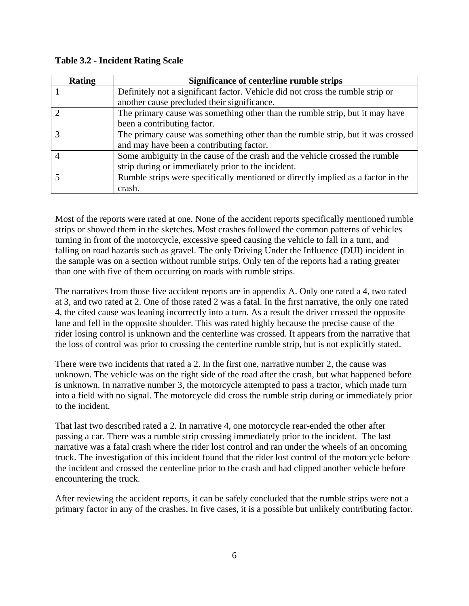| <b>Rating</b> | Significance of centerline rumble strips                                         |
|---------------|----------------------------------------------------------------------------------|
|               | Definitely not a significant factor. Vehicle did not cross the rumble strip or   |
|               | another cause precluded their significance.                                      |
| $\mathcal{D}$ | The primary cause was something other than the rumble strip, but it may have     |
|               | been a contributing factor.                                                      |
| 3             | The primary cause was something other than the rumble strip, but it was crossed  |
|               | and may have been a contributing factor.                                         |
|               | Some ambiguity in the cause of the crash and the vehicle crossed the rumble      |
|               | strip during or immediately prior to the incident.                               |
|               | Rumble strips were specifically mentioned or directly implied as a factor in the |
|               | crash.                                                                           |

**Table 3.2 - Incident Rating Scale** 

Most of the reports were rated at one. None of the accident reports specifically mentioned rumble strips or showed them in the sketches. Most crashes followed the common patterns of vehicles turning in front of the motorcycle, excessive speed causing the vehicle to fall in a turn, and falling on road hazards such as gravel. The only Driving Under the Influence (DUI) incident in the sample was on a section without rumble strips. Only ten of the reports had a rating greater than one with five of them occurring on roads with rumble strips.

The narratives from those five accident reports are in appendix A. Only one rated a 4, two rated at 3, and two rated at 2. One of those rated 2 was a fatal. In the first narrative, the only one rated 4, the cited cause was leaning incorrectly into a turn. As a result the driver crossed the opposite lane and fell in the opposite shoulder. This was rated highly because the precise cause of the rider losing control is unknown and the centerline was crossed. It appears from the narrative that the loss of control was prior to crossing the centerline rumble strip, but is not explicitly stated.

There were two incidents that rated a 2. In the first one, narrative number 2, the cause was unknown. The vehicle was on the right side of the road after the crash, but what happened before is unknown. In narrative number 3, the motorcycle attempted to pass a tractor, which made turn into a field with no signal. The motorcycle did cross the rumble strip during or immediately prior to the incident.

That last two described rated a 2. In narrative 4, one motorcycle rear-ended the other after passing a car. There was a rumble strip crossing immediately prior to the incident. The last narrative was a fatal crash where the rider lost control and ran under the wheels of an oncoming truck. The investigation of this incident found that the rider lost control of the motorcycle before the incident and crossed the centerline prior to the crash and had clipped another vehicle before encountering the truck.

After reviewing the accident reports, it can be safely concluded that the rumble strips were not a primary factor in any of the crashes. In five cases, it is a possible but unlikely contributing factor.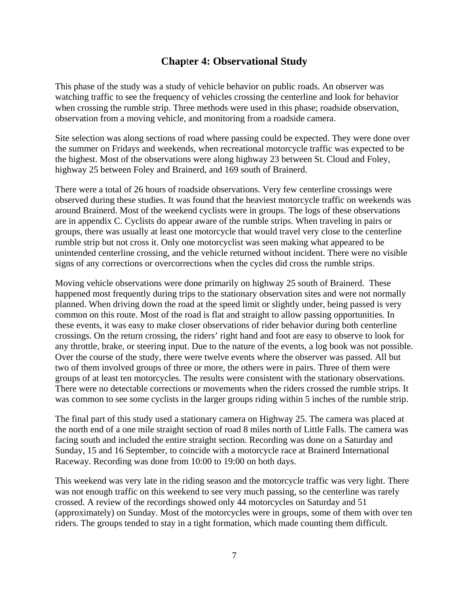#### **Chap**t**er 4: Observational Study**

This phase of the study was a study of vehicle behavior on public roads. An observer was watching traffic to see the frequency of vehicles crossing the centerline and look for behavior when crossing the rumble strip. Three methods were used in this phase; roadside observation, observation from a moving vehicle, and monitoring from a roadside camera.

Site selection was along sections of road where passing could be expected. They were done over the summer on Fridays and weekends, when recreational motorcycle traffic was expected to be the highest. Most of the observations were along highway 23 between St. Cloud and Foley, highway 25 between Foley and Brainerd, and 169 south of Brainerd.

There were a total of 26 hours of roadside observations. Very few centerline crossings were observed during these studies. It was found that the heaviest motorcycle traffic on weekends was around Brainerd. Most of the weekend cyclists were in groups. The logs of these observations are in appendix C. Cyclists do appear aware of the rumble strips. When traveling in pairs or groups, there was usually at least one motorcycle that would travel very close to the centerline rumble strip but not cross it. Only one motorcyclist was seen making what appeared to be unintended centerline crossing, and the vehicle returned without incident. There were no visible signs of any corrections or overcorrections when the cycles did cross the rumble strips.

Moving vehicle observations were done primarily on highway 25 south of Brainerd. These happened most frequently during trips to the stationary observation sites and were not normally planned. When driving down the road at the speed limit or slightly under, being passed is very common on this route. Most of the road is flat and straight to allow passing opportunities. In these events, it was easy to make closer observations of rider behavior during both centerline crossings. On the return crossing, the riders' right hand and foot are easy to observe to look for any throttle, brake, or steering input. Due to the nature of the events, a log book was not possible. Over the course of the study, there were twelve events where the observer was passed. All but two of them involved groups of three or more, the others were in pairs. Three of them were groups of at least ten motorcycles. The results were consistent with the stationary observations. There were no detectable corrections or movements when the riders crossed the rumble strips. It was common to see some cyclists in the larger groups riding within 5 inches of the rumble strip.

The final part of this study used a stationary camera on Highway 25. The camera was placed at the north end of a one mile straight section of road 8 miles north of Little Falls. The camera was facing south and included the entire straight section. Recording was done on a Saturday and Sunday, 15 and 16 September, to coincide with a motorcycle race at Brainerd International Raceway. Recording was done from 10:00 to 19:00 on both days.

This weekend was very late in the riding season and the motorcycle traffic was very light. There was not enough traffic on this weekend to see very much passing, so the centerline was rarely crossed. A review of the recordings showed only 44 motorcycles on Saturday and 51 (approximately) on Sunday. Most of the motorcycles were in groups, some of them with over ten riders. The groups tended to stay in a tight formation, which made counting them difficult.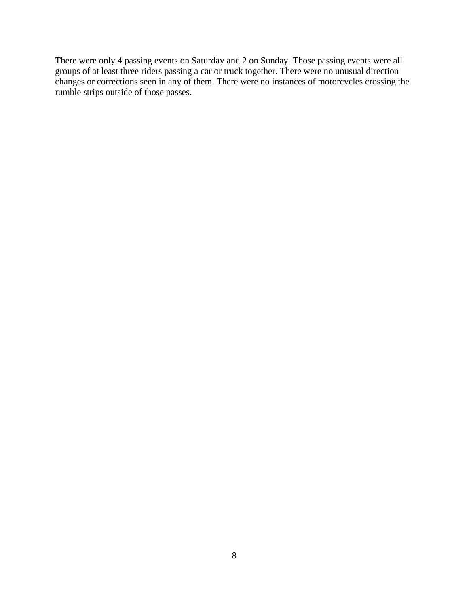There were only 4 passing events on Saturday and 2 on Sunday. Those passing events were all groups of at least three riders passing a car or truck together. There were no unusual direction changes or corrections seen in any of them. There were no instances of motorcycles crossing the rumble strips outside of those passes.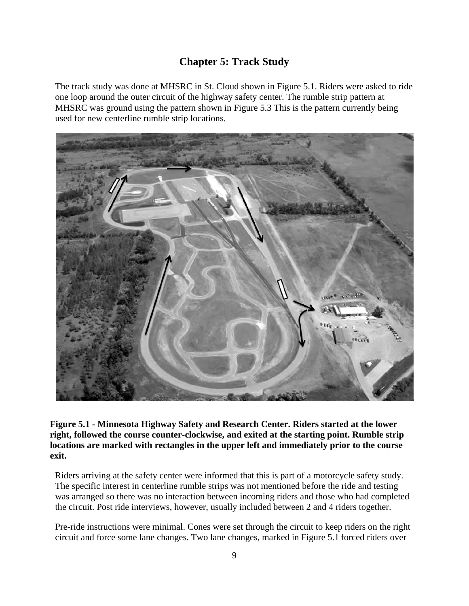## **Chapter 5: Track Study**

The track study was done at MHSRC in St. Cloud shown in Figure 5.1. Riders were asked to ride one loop around the outer circuit of the highway safety center. The rumble strip pattern at MHSRC was ground using the pattern shown in Figure 5.3 This is the pattern currently being used for new centerline rumble strip locations.



**Figure 5.1 - Minnesota Highway Safety and Research Center. Riders started at the lower right, followed the course counter-clockwise, and exited at the starting point. Rumble strip locations are marked with rectangles in the upper left and immediately prior to the course exit.**

Riders arriving at the safety center were informed that this is part of a motorcycle safety study. The specific interest in centerline rumble strips was not mentioned before the ride and testing was arranged so there was no interaction between incoming riders and those who had completed the circuit. Post ride interviews, however, usually included between 2 and 4 riders together.

Pre-ride instructions were minimal. Cones were set through the circuit to keep riders on the right circuit and force some lane changes. Two lane changes, marked in Figure 5.1 forced riders over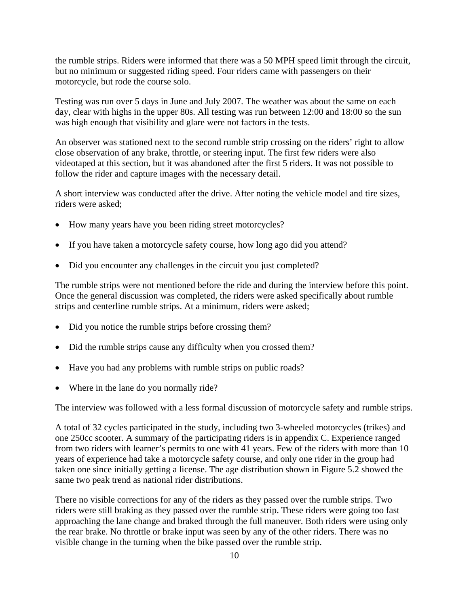the rumble strips. Riders were informed that there was a 50 MPH speed limit through the circuit, but no minimum or suggested riding speed. Four riders came with passengers on their motorcycle, but rode the course solo.

Testing was run over 5 days in June and July 2007. The weather was about the same on each day, clear with highs in the upper 80s. All testing was run between 12:00 and 18:00 so the sun was high enough that visibility and glare were not factors in the tests.

An observer was stationed next to the second rumble strip crossing on the riders' right to allow close observation of any brake, throttle, or steering input. The first few riders were also videotaped at this section, but it was abandoned after the first 5 riders. It was not possible to follow the rider and capture images with the necessary detail.

A short interview was conducted after the drive. After noting the vehicle model and tire sizes, riders were asked;

- How many years have you been riding street motorcycles?
- If you have taken a motorcycle safety course, how long ago did you attend?
- Did you encounter any challenges in the circuit you just completed?

The rumble strips were not mentioned before the ride and during the interview before this point. Once the general discussion was completed, the riders were asked specifically about rumble strips and centerline rumble strips. At a minimum, riders were asked;

- Did you notice the rumble strips before crossing them?
- Did the rumble strips cause any difficulty when you crossed them?
- Have you had any problems with rumble strips on public roads?
- Where in the lane do you normally ride?

The interview was followed with a less formal discussion of motorcycle safety and rumble strips.

A total of 32 cycles participated in the study, including two 3-wheeled motorcycles (trikes) and one 250cc scooter. A summary of the participating riders is in appendix C. Experience ranged from two riders with learner's permits to one with 41 years. Few of the riders with more than 10 years of experience had take a motorcycle safety course, and only one rider in the group had taken one since initially getting a license. The age distribution shown in Figure 5.2 showed the same two peak trend as national rider distributions.

There no visible corrections for any of the riders as they passed over the rumble strips. Two riders were still braking as they passed over the rumble strip. These riders were going too fast approaching the lane change and braked through the full maneuver. Both riders were using only the rear brake. No throttle or brake input was seen by any of the other riders. There was no visible change in the turning when the bike passed over the rumble strip.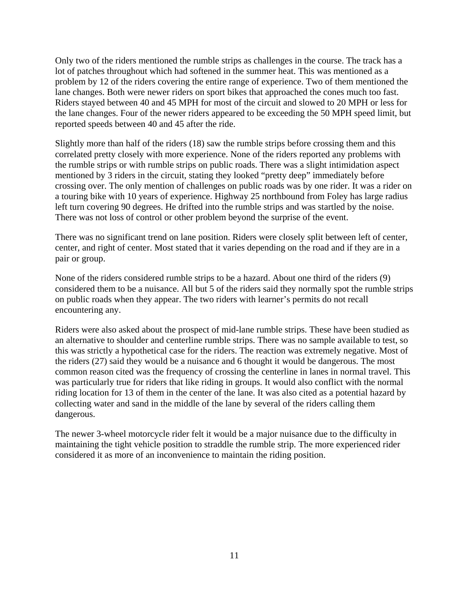Only two of the riders mentioned the rumble strips as challenges in the course. The track has a lot of patches throughout which had softened in the summer heat. This was mentioned as a problem by 12 of the riders covering the entire range of experience. Two of them mentioned the lane changes. Both were newer riders on sport bikes that approached the cones much too fast. Riders stayed between 40 and 45 MPH for most of the circuit and slowed to 20 MPH or less for the lane changes. Four of the newer riders appeared to be exceeding the 50 MPH speed limit, but reported speeds between 40 and 45 after the ride.

Slightly more than half of the riders (18) saw the rumble strips before crossing them and this correlated pretty closely with more experience. None of the riders reported any problems with the rumble strips or with rumble strips on public roads. There was a slight intimidation aspect mentioned by 3 riders in the circuit, stating they looked "pretty deep" immediately before crossing over. The only mention of challenges on public roads was by one rider. It was a rider on a touring bike with 10 years of experience. Highway 25 northbound from Foley has large radius left turn covering 90 degrees. He drifted into the rumble strips and was startled by the noise. There was not loss of control or other problem beyond the surprise of the event.

There was no significant trend on lane position. Riders were closely split between left of center, center, and right of center. Most stated that it varies depending on the road and if they are in a pair or group.

None of the riders considered rumble strips to be a hazard. About one third of the riders (9) considered them to be a nuisance. All but 5 of the riders said they normally spot the rumble strips on public roads when they appear. The two riders with learner's permits do not recall encountering any.

Riders were also asked about the prospect of mid-lane rumble strips. These have been studied as an alternative to shoulder and centerline rumble strips. There was no sample available to test, so this was strictly a hypothetical case for the riders. The reaction was extremely negative. Most of the riders (27) said they would be a nuisance and 6 thought it would be dangerous. The most common reason cited was the frequency of crossing the centerline in lanes in normal travel. This was particularly true for riders that like riding in groups. It would also conflict with the normal riding location for 13 of them in the center of the lane. It was also cited as a potential hazard by collecting water and sand in the middle of the lane by several of the riders calling them dangerous.

The newer 3-wheel motorcycle rider felt it would be a major nuisance due to the difficulty in maintaining the tight vehicle position to straddle the rumble strip. The more experienced rider considered it as more of an inconvenience to maintain the riding position.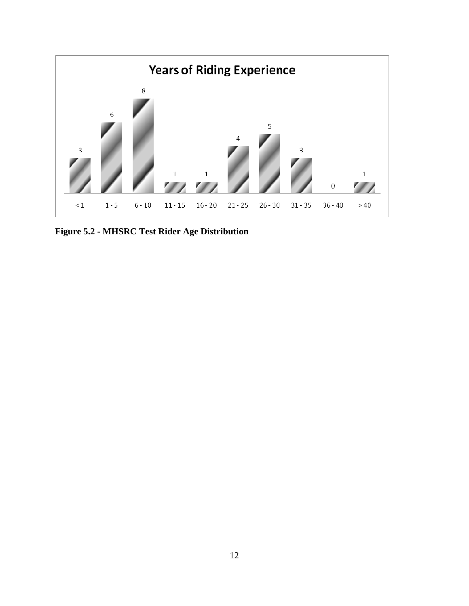

**Figure 5.2 - MHSRC Test Rider Age Distribution**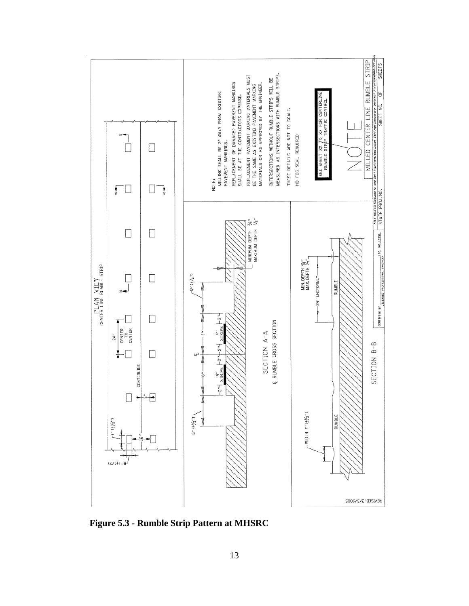

**Figure 5.3 - Rumble Strip Pattern at MHSRC**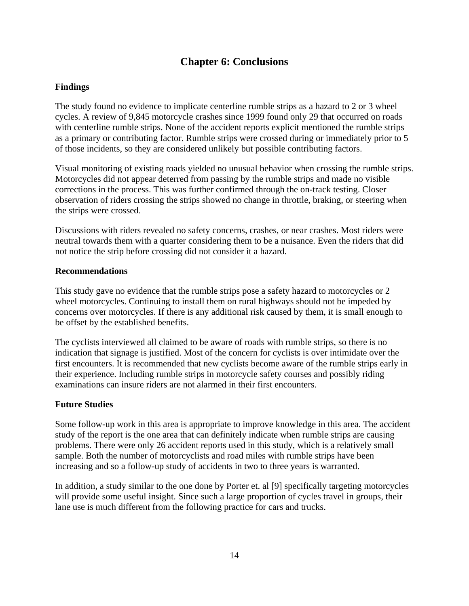## **Chapter 6: Conclusions**

#### **Findings**

The study found no evidence to implicate centerline rumble strips as a hazard to 2 or 3 wheel cycles. A review of 9,845 motorcycle crashes since 1999 found only 29 that occurred on roads with centerline rumble strips. None of the accident reports explicit mentioned the rumble strips as a primary or contributing factor. Rumble strips were crossed during or immediately prior to 5 of those incidents, so they are considered unlikely but possible contributing factors.

Visual monitoring of existing roads yielded no unusual behavior when crossing the rumble strips. Motorcycles did not appear deterred from passing by the rumble strips and made no visible corrections in the process. This was further confirmed through the on-track testing. Closer observation of riders crossing the strips showed no change in throttle, braking, or steering when the strips were crossed.

Discussions with riders revealed no safety concerns, crashes, or near crashes. Most riders were neutral towards them with a quarter considering them to be a nuisance. Even the riders that did not notice the strip before crossing did not consider it a hazard.

#### **Recommendations**

This study gave no evidence that the rumble strips pose a safety hazard to motorcycles or 2 wheel motorcycles. Continuing to install them on rural highways should not be impeded by concerns over motorcycles. If there is any additional risk caused by them, it is small enough to be offset by the established benefits.

The cyclists interviewed all claimed to be aware of roads with rumble strips, so there is no indication that signage is justified. Most of the concern for cyclists is over intimidate over the first encounters. It is recommended that new cyclists become aware of the rumble strips early in their experience. Including rumble strips in motorcycle safety courses and possibly riding examinations can insure riders are not alarmed in their first encounters.

#### **Future Studies**

Some follow-up work in this area is appropriate to improve knowledge in this area. The accident study of the report is the one area that can definitely indicate when rumble strips are causing problems. There were only 26 accident reports used in this study, which is a relatively small sample. Both the number of motorcyclists and road miles with rumble strips have been increasing and so a follow-up study of accidents in two to three years is warranted.

In addition, a study similar to the one done by Porter et. al [9] specifically targeting motorcycles will provide some useful insight. Since such a large proportion of cycles travel in groups, their lane use is much different from the following practice for cars and trucks.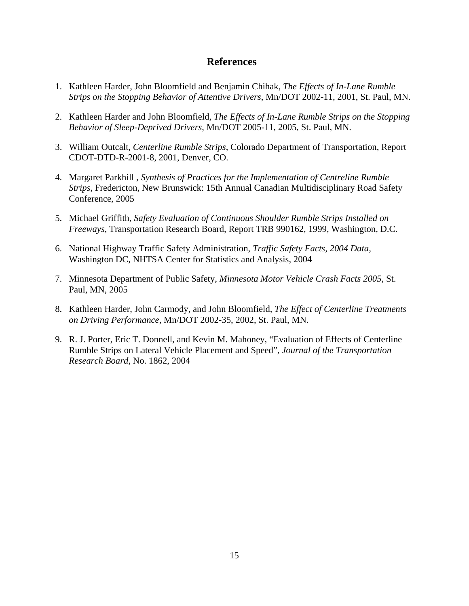#### **References**

- 1. Kathleen Harder, John Bloomfield and Benjamin Chihak, *The Effects of In-Lane Rumble Strips on the Stopping Behavior of Attentive Drivers*, Mn/DOT 2002-11, 2001, St. Paul, MN.
- 2. Kathleen Harder and John Bloomfield, *The Effects of In-Lane Rumble Strips on the Stopping Behavior of Sleep-Deprived Drivers*, Mn/DOT 2005-11, 2005, St. Paul, MN.
- 3. William Outcalt, *Centerline Rumble Strips*, Colorado Department of Transportation, Report CDOT-DTD-R-2001-8, 2001, Denver, CO.
- 4. Margaret Parkhill , *Synthesis of Practices for the Implementation of Centreline Rumble Strips*, Fredericton, New Brunswick: 15th Annual Canadian Multidisciplinary Road Safety Conference, 2005
- 5. Michael Griffith, *Safety Evaluation of Continuous Shoulder Rumble Strips Installed on Freeways*, Transportation Research Board, Report TRB 990162, 1999, Washington, D.C.
- 6. National Highway Traffic Safety Administration, *Traffic Safety Facts, 2004 Data,*  Washington DC, NHTSA Center for Statistics and Analysis, 2004
- 7. Minnesota Department of Public Safety, *Minnesota Motor Vehicle Crash Facts 2005,* St. Paul, MN, 2005
- 8. Kathleen Harder, John Carmody, and John Bloomfield, *The Effect of Centerline Treatments on Driving Performance*, Mn/DOT 2002-35, 2002, St. Paul, MN.
- 9. R. J. Porter, Eric T. Donnell, and Kevin M. Mahoney, "Evaluation of Effects of Centerline Rumble Strips on Lateral Vehicle Placement and Speed", *Journal of the Transportation Research Board*, No. 1862, 2004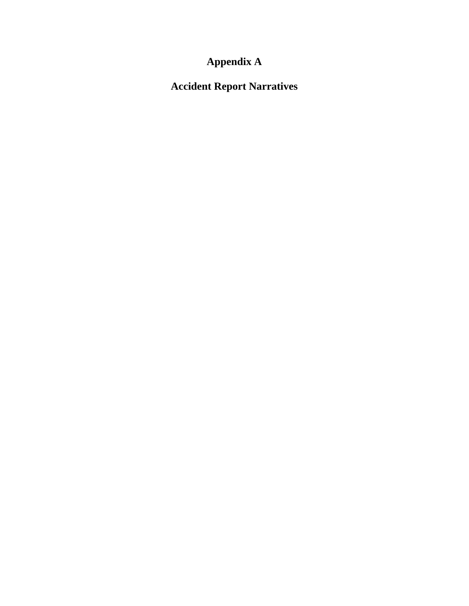# **Appendix A**

**Accident Report Narratives**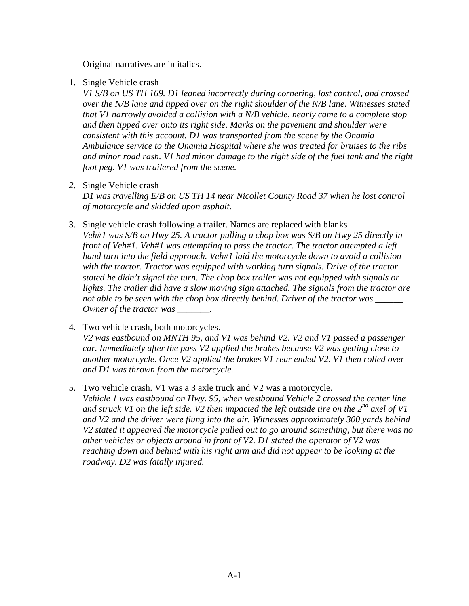Original narratives are in italics.

1. Single Vehicle crash

*V1 S/B on US TH 169. D1 leaned incorrectly during cornering, lost control, and crossed over the N/B lane and tipped over on the right shoulder of the N/B lane. Witnesses stated that V1 narrowly avoided a collision with a N/B vehicle, nearly came to a complete stop and then tipped over onto its right side. Marks on the pavement and shoulder were consistent with this account. D1 was transported from the scene by the Onamia Ambulance service to the Onamia Hospital where she was treated for bruises to the ribs and minor road rash. V1 had minor damage to the right side of the fuel tank and the right foot peg. V1 was trailered from the scene.*

*2.* Single Vehicle crash

*D1 was travelling E/B on US TH 14 near Nicollet County Road 37 when he lost control of motorcycle and skidded upon asphalt.* 

- 3. Single vehicle crash following a trailer. Names are replaced with blanks *Veh#1 was S/B on Hwy 25. A tractor pulling a chop box was S/B on Hwy 25 directly in front of Veh#1. Veh#1 was attempting to pass the tractor. The tractor attempted a left hand turn into the field approach. Veh#1 laid the motorcycle down to avoid a collision with the tractor. Tractor was equipped with working turn signals. Drive of the tractor stated he didn't signal the turn. The chop box trailer was not equipped with signals or*  lights. The trailer did have a slow moving sign attached. The signals from the tractor are *not able to be seen with the chop box directly behind. Driver of the tractor was \_\_\_\_\_\_. Owner of the tractor was*  $\qquad \qquad$ .
- 4. Two vehicle crash, both motorcycles. *V2 was eastbound on MNTH 95, and V1 was behind V2. V2 and V1 passed a passenger car. Immediately after the pass V2 applied the brakes because V2 was getting close to another motorcycle. Once V2 applied the brakes V1 rear ended V2. V1 then rolled over and D1 was thrown from the motorcycle.*
- 5. Two vehicle crash. V1 was a 3 axle truck and V2 was a motorcycle. *Vehicle 1 was eastbound on Hwy. 95, when westbound Vehicle 2 crossed the center line and struck V1 on the left side. V2 then impacted the left outside tire on the 2nd axel of V1 and V2 and the driver were flung into the air. Witnesses approximately 300 yards behind V2 stated it appeared the motorcycle pulled out to go around something, but there was no other vehicles or objects around in front of V2. D1 stated the operator of V2 was reaching down and behind with his right arm and did not appear to be looking at the roadway. D2 was fatally injured.*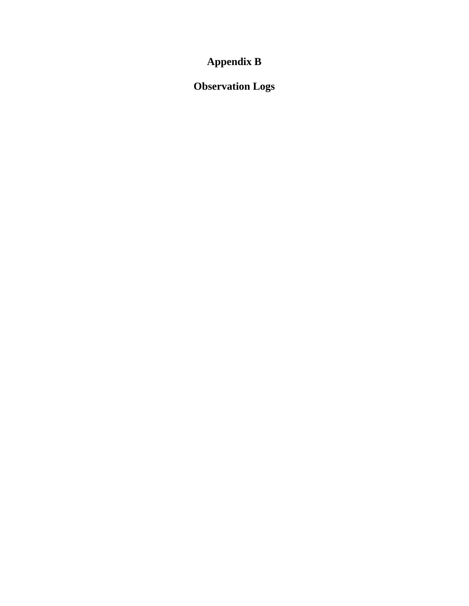# **Appendix B**

# **Observation Logs**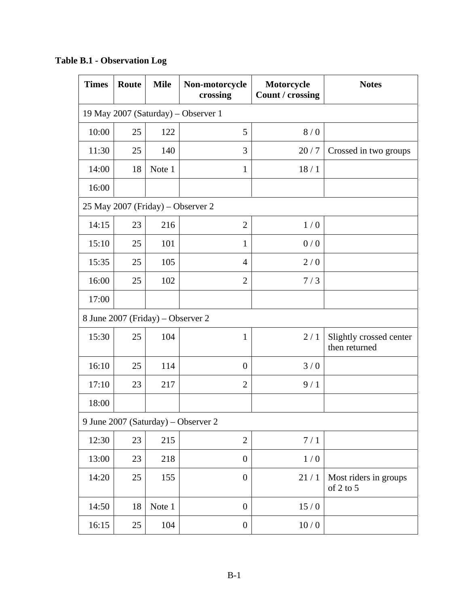| <b>Times</b>                        | Route | <b>Mile</b>                       | Non-motorcycle<br>crossing          | Motorcycle<br>Count / crossing | <b>Notes</b>                             |  |  |
|-------------------------------------|-------|-----------------------------------|-------------------------------------|--------------------------------|------------------------------------------|--|--|
| 19 May 2007 (Saturday) – Observer 1 |       |                                   |                                     |                                |                                          |  |  |
| 10:00                               | 25    | 122                               | 5                                   | 8/0                            |                                          |  |  |
| 11:30                               | 25    | 140                               | 3                                   | 20/7                           | Crossed in two groups                    |  |  |
| 14:00                               | 18    | Note 1                            | $\mathbf{1}$                        | 18/1                           |                                          |  |  |
| 16:00                               |       |                                   |                                     |                                |                                          |  |  |
|                                     |       |                                   | 25 May 2007 (Friday) - Observer 2   |                                |                                          |  |  |
| 14:15                               | 23    | 216                               | $\overline{2}$                      | 1/0                            |                                          |  |  |
| 15:10                               | 25    | 101                               | $\mathbf{1}$                        | 0/0                            |                                          |  |  |
| 15:35                               | 25    | 105                               | $\overline{4}$                      | 2/0                            |                                          |  |  |
| 16:00                               | 25    | 102                               | $\overline{2}$                      | 7/3                            |                                          |  |  |
| 17:00                               |       |                                   |                                     |                                |                                          |  |  |
|                                     |       | 8 June 2007 (Friday) - Observer 2 |                                     |                                |                                          |  |  |
| 15:30                               | 25    | 104                               | $\mathbf{1}$                        | 2/1                            | Slightly crossed center<br>then returned |  |  |
| 16:10                               | 25    | 114                               | $\overline{0}$                      | 3/0                            |                                          |  |  |
| 17:10                               | 23    | 217                               | $\overline{2}$                      | 9/1                            |                                          |  |  |
| 18:00                               |       |                                   |                                     |                                |                                          |  |  |
|                                     |       |                                   | 9 June 2007 (Saturday) – Observer 2 |                                |                                          |  |  |
| 12:30                               | 23    | 215                               | $\overline{2}$                      | 7/1                            |                                          |  |  |
| 13:00                               | 23    | 218                               | $\boldsymbol{0}$                    | 1/0                            |                                          |  |  |
| 14:20                               | 25    | 155                               | $\overline{0}$                      | 21/1                           | Most riders in groups<br>of 2 to 5       |  |  |
| 14:50                               | 18    | Note 1                            | $\overline{0}$                      | 15/0                           |                                          |  |  |
| 16:15                               | 25    | 104                               | $\boldsymbol{0}$                    | 10/0                           |                                          |  |  |

**Table B.1 - Observation Log**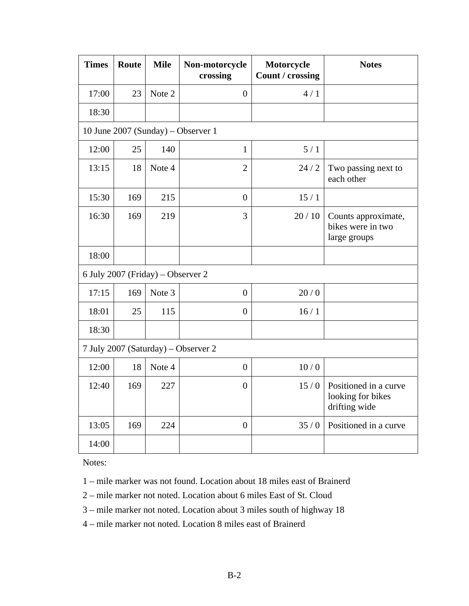| <b>Times</b> | Route | <b>Mile</b>                       | Non-motorcycle<br>crossing          | Motorcycle<br>Count / crossing | <b>Notes</b>                                                |
|--------------|-------|-----------------------------------|-------------------------------------|--------------------------------|-------------------------------------------------------------|
| 17:00        | 23    | Note 2                            | $\overline{0}$                      | 4/1                            |                                                             |
| 18:30        |       |                                   |                                     |                                |                                                             |
|              |       |                                   | 10 June 2007 (Sunday) – Observer 1  |                                |                                                             |
| 12:00        | 25    | 140                               | $\mathbf{1}$                        | 5/1                            |                                                             |
| 13:15        | 18    | Note 4                            | $\overline{2}$                      | 24/2                           | Two passing next to<br>each other                           |
| 15:30        | 169   | 215                               | $\overline{0}$                      | 15/1                           |                                                             |
| 16:30        | 169   | 219                               | 3                                   | 20/10                          | Counts approximate,<br>bikes were in two<br>large groups    |
| 18:00        |       |                                   |                                     |                                |                                                             |
|              |       | 6 July 2007 (Friday) - Observer 2 |                                     |                                |                                                             |
| 17:15        | 169   | Note 3                            | $\overline{0}$                      | 20/0                           |                                                             |
| 18:01        | 25    | 115                               | $\boldsymbol{0}$                    | 16/1                           |                                                             |
| 18:30        |       |                                   |                                     |                                |                                                             |
|              |       |                                   | 7 July 2007 (Saturday) - Observer 2 |                                |                                                             |
| 12:00        | 18    | Note 4                            | $\overline{0}$                      | 10/0                           |                                                             |
| 12:40        | 169   | 227                               | $\overline{0}$                      | 15/0                           | Positioned in a curve<br>looking for bikes<br>drifting wide |
| 13:05        | 169   | 224                               | $\overline{0}$                      | 35/0                           | Positioned in a curve                                       |
| 14:00        |       |                                   |                                     |                                |                                                             |

Notes:

1 – mile marker was not found. Location about 18 miles east of Brainerd

2 – mile marker not noted. Location about 6 miles East of St. Cloud

3 – mile marker not noted. Location about 3 miles south of highway 18

4 – mile marker not noted. Location 8 miles east of Brainerd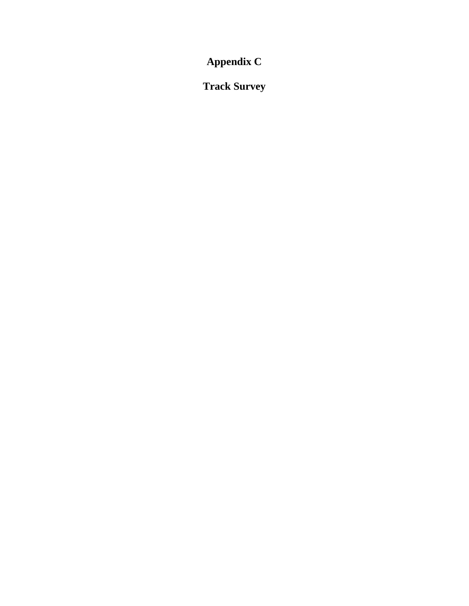**Appendix C** 

**Track Survey**